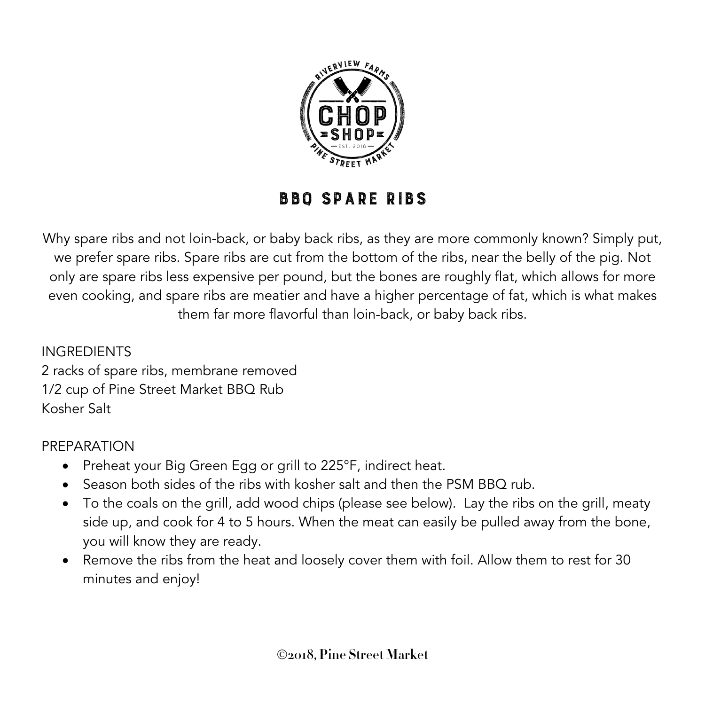

## BBQ Spare Ribs

Why spare ribs and not loin-back, or baby back ribs, as they are more commonly known? Simply put, we prefer spare ribs. Spare ribs are cut from the bottom of the ribs, near the belly of the pig. Not only are spare ribs less expensive per pound, but the bones are roughly flat, which allows for more even cooking, and spare ribs are meatier and have a higher percentage of fat, which is what makes them far more flavorful than loin-back, or baby back ribs.

INGREDIENTS 2 racks of spare ribs, membrane removed 1/2 cup of Pine Street Market BBQ Rub Kosher Salt

## PREPARATION

- Preheat your Big Green Egg or grill to 225°F, indirect heat.
- Season both sides of the ribs with kosher salt and then the PSM BBQ rub.
- To the coals on the grill, add wood chips (please see below). Lay the ribs on the grill, meaty side up, and cook for 4 to 5 hours. When the meat can easily be pulled away from the bone, you will know they are ready.
- Remove the ribs from the heat and loosely cover them with foil. Allow them to rest for 30 minutes and enjoy!